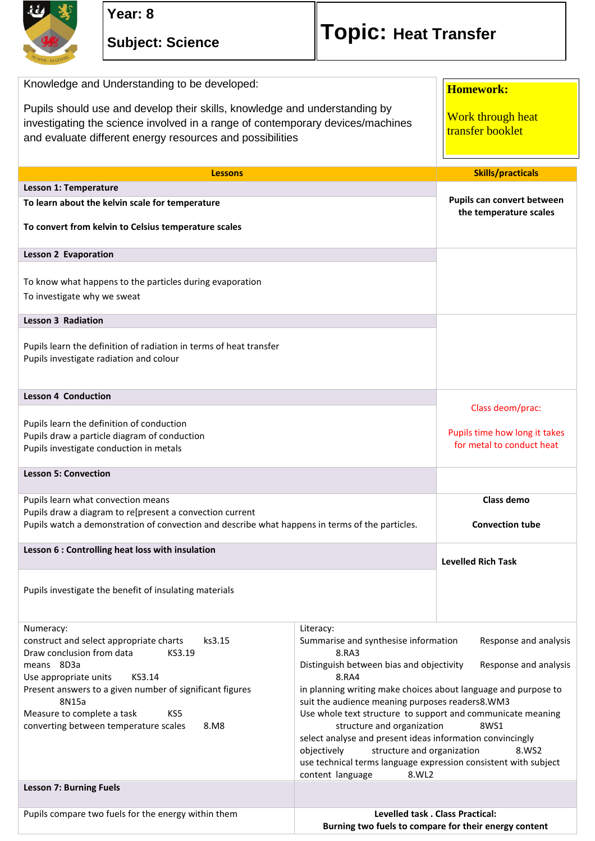

| Knowledge and Understanding to be developed:<br>Pupils should use and develop their skills, knowledge and understanding by<br>investigating the science involved in a range of contemporary devices/machines<br>and evaluate different energy resources and possibilities                                         |                                                                                                                                                                                                                                                                                                                                                                                                                                                                                                                                                                                                                | <b>Homework:</b><br>Work through heat<br>transfer booklet                      |
|-------------------------------------------------------------------------------------------------------------------------------------------------------------------------------------------------------------------------------------------------------------------------------------------------------------------|----------------------------------------------------------------------------------------------------------------------------------------------------------------------------------------------------------------------------------------------------------------------------------------------------------------------------------------------------------------------------------------------------------------------------------------------------------------------------------------------------------------------------------------------------------------------------------------------------------------|--------------------------------------------------------------------------------|
| <b>Lessons</b>                                                                                                                                                                                                                                                                                                    |                                                                                                                                                                                                                                                                                                                                                                                                                                                                                                                                                                                                                | <b>Skills/practicals</b>                                                       |
| Lesson 1: Temperature                                                                                                                                                                                                                                                                                             |                                                                                                                                                                                                                                                                                                                                                                                                                                                                                                                                                                                                                |                                                                                |
| To learn about the kelvin scale for temperature<br>To convert from kelvin to Celsius temperature scales                                                                                                                                                                                                           |                                                                                                                                                                                                                                                                                                                                                                                                                                                                                                                                                                                                                | Pupils can convert between<br>the temperature scales                           |
| <b>Lesson 2 Evaporation</b>                                                                                                                                                                                                                                                                                       |                                                                                                                                                                                                                                                                                                                                                                                                                                                                                                                                                                                                                |                                                                                |
| To know what happens to the particles during evaporation<br>To investigate why we sweat                                                                                                                                                                                                                           |                                                                                                                                                                                                                                                                                                                                                                                                                                                                                                                                                                                                                |                                                                                |
| <b>Lesson 3 Radiation</b>                                                                                                                                                                                                                                                                                         |                                                                                                                                                                                                                                                                                                                                                                                                                                                                                                                                                                                                                |                                                                                |
| Pupils learn the definition of radiation in terms of heat transfer<br>Pupils investigate radiation and colour                                                                                                                                                                                                     |                                                                                                                                                                                                                                                                                                                                                                                                                                                                                                                                                                                                                |                                                                                |
| <b>Lesson 4 Conduction</b>                                                                                                                                                                                                                                                                                        |                                                                                                                                                                                                                                                                                                                                                                                                                                                                                                                                                                                                                |                                                                                |
| Pupils learn the definition of conduction<br>Pupils draw a particle diagram of conduction<br>Pupils investigate conduction in metals                                                                                                                                                                              |                                                                                                                                                                                                                                                                                                                                                                                                                                                                                                                                                                                                                | Class deom/prac:<br>Pupils time how long it takes<br>for metal to conduct heat |
| <b>Lesson 5: Convection</b>                                                                                                                                                                                                                                                                                       |                                                                                                                                                                                                                                                                                                                                                                                                                                                                                                                                                                                                                |                                                                                |
| Pupils learn what convection means<br>Pupils draw a diagram to re[present a convection current<br>Pupils watch a demonstration of convection and describe what happens in terms of the particles.                                                                                                                 |                                                                                                                                                                                                                                                                                                                                                                                                                                                                                                                                                                                                                | Class demo<br><b>Convection tube</b>                                           |
| Lesson 6 : Controlling heat loss with insulation                                                                                                                                                                                                                                                                  |                                                                                                                                                                                                                                                                                                                                                                                                                                                                                                                                                                                                                |                                                                                |
|                                                                                                                                                                                                                                                                                                                   |                                                                                                                                                                                                                                                                                                                                                                                                                                                                                                                                                                                                                | <b>Levelled Rich Task</b>                                                      |
| Pupils investigate the benefit of insulating materials                                                                                                                                                                                                                                                            |                                                                                                                                                                                                                                                                                                                                                                                                                                                                                                                                                                                                                |                                                                                |
| Numeracy:<br>construct and select appropriate charts<br>ks3.15<br>Draw conclusion from data<br>KS3.19<br>means 8D3a<br>KS3.14<br>Use appropriate units<br>Present answers to a given number of significant figures<br>8N15a<br>Measure to complete a task<br>KS5<br>converting between temperature scales<br>8.M8 | Literacy:<br>Summarise and synthesise information<br>Response and analysis<br>8.RA3<br>Distinguish between bias and objectivity<br>Response and analysis<br>8.RA4<br>in planning writing make choices about language and purpose to<br>suit the audience meaning purposes readers8.WM3<br>Use whole text structure to support and communicate meaning<br>structure and organization<br>8WS1<br>select analyse and present ideas information convincingly<br>structure and organization<br>objectively<br>8.WS2<br>use technical terms language expression consistent with subject<br>content language<br>8.WL2 |                                                                                |
| <b>Lesson 7: Burning Fuels</b>                                                                                                                                                                                                                                                                                    |                                                                                                                                                                                                                                                                                                                                                                                                                                                                                                                                                                                                                |                                                                                |
| Pupils compare two fuels for the energy within them                                                                                                                                                                                                                                                               | Levelled task . Class Practical:<br>Burning two fuels to compare for their energy content                                                                                                                                                                                                                                                                                                                                                                                                                                                                                                                      |                                                                                |